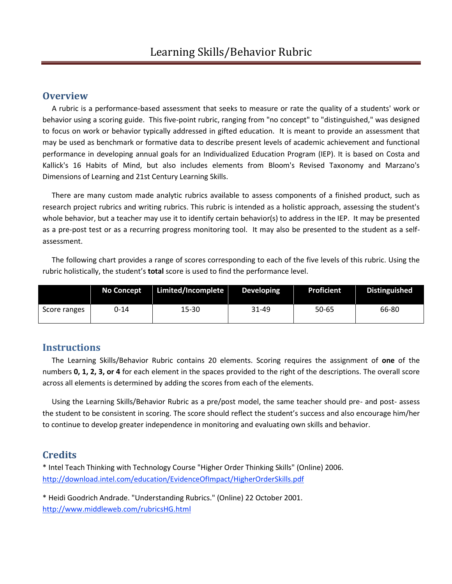#### **Overview**

 A rubric is a performance-based assessment that seeks to measure or rate the quality of a students' work or behavior using a scoring guide. This five-point rubric, ranging from "no concept" to "distinguished," was designed to focus on work or behavior typically addressed in gifted education. It is meant to provide an assessment that may be used as benchmark or formative data to describe present levels of academic achievement and functional performance in developing annual goals for an Individualized Education Program (IEP). It is based on Costa and Kallick's 16 Habits of Mind, but also includes elements from Bloom's Revised Taxonomy and Marzano's Dimensions of Learning and 21st Century Learning Skills.

 There are many custom made analytic rubrics available to assess components of a finished product, such as research project rubrics and writing rubrics. This rubric is intended as a holistic approach, assessing the student's whole behavior, but a teacher may use it to identify certain behavior(s) to address in the IEP. It may be presented as a pre-post test or as a recurring progress monitoring tool. It may also be presented to the student as a selfassessment.

 The following chart provides a range of scores corresponding to each of the five levels of this rubric. Using the rubric holistically, the student's **total** score is used to find the performance level.

|              | No Concept | Limited/Incomplete | <b>Developing</b> | <b>Proficient</b> | Distinguished |
|--------------|------------|--------------------|-------------------|-------------------|---------------|
| Score ranges | 0-14       | 15-30              | 31-49             | 50-65             | 66-80         |

#### **Instructions**

 The Learning Skills/Behavior Rubric contains 20 elements. Scoring requires the assignment of **one** of the numbers **0, 1, 2, 3, or 4** for each element in the spaces provided to the right of the descriptions. The overall score across all elements is determined by adding the scores from each of the elements.

 Using the Learning Skills/Behavior Rubric as a pre/post model, the same teacher should pre- and post- assess the student to be consistent in scoring. The score should reflect the student's success and also encourage him/her to continue to develop greater independence in monitoring and evaluating own skills and behavior.

#### **Credits**

\* Intel Teach Thinking with Technology Course "Higher Order Thinking Skills" (Online) 2006. <http://download.intel.com/education/EvidenceOfImpact/HigherOrderSkills.pdf>

\* Heidi Goodrich Andrade. "Understanding Rubrics." (Online) 22 October 2001. <http://www.middleweb.com/rubricsHG.html>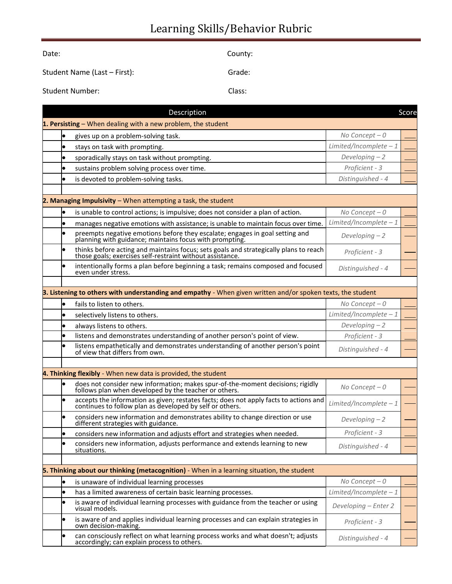# Learning Skills/Behavior Rubric

| Date:                        | County: |
|------------------------------|---------|
| Student Name (Last - First): | Grade:  |
| <b>Student Number:</b>       | Class:  |

|           | Description                                                                                                                                     |                         | Score |
|-----------|-------------------------------------------------------------------------------------------------------------------------------------------------|-------------------------|-------|
|           | 1. Persisting - When dealing with a new problem, the student                                                                                    |                         |       |
|           | gives up on a problem-solving task.                                                                                                             | No Concept $-0$         |       |
| $\bullet$ | stays on task with prompting.                                                                                                                   | Limited/Incomplete $-1$ |       |
|           | sporadically stays on task without prompting.                                                                                                   | Developing $-2$         |       |
|           | sustains problem solving process over time.                                                                                                     | Proficient - 3          |       |
| $\bullet$ | is devoted to problem-solving tasks.                                                                                                            | Distinguished - 4       |       |
|           |                                                                                                                                                 |                         |       |
|           | 2. Managing Impulsivity - When attempting a task, the student                                                                                   |                         |       |
| $\bullet$ | is unable to control actions; is impulsive; does not consider a plan of action.                                                                 | No Concept $-0$         |       |
| $\bullet$ | manages negative emotions with assistance; is unable to maintain focus over time.                                                               | Limited/Incomplete $-1$ |       |
|           | preempts negative emotions before they escalate; engages in goal setting and planning with guidance; maintains focus with prompting.            | Developing $-2$         |       |
| $\bullet$ | thinks before acting and maintains focus; sets goals and strategically plans to reach those goals; exercises self-restraint without assistance. | Proficient - 3          |       |
|           | intentionally forms a plan before beginning a task; remains composed and focused<br>even under stress.                                          | Distinguished - 4       |       |
|           |                                                                                                                                                 |                         |       |
|           | 3. Listening to others with understanding and empathy - When given written and/or spoken texts, the student                                     |                         |       |
| $\bullet$ | fails to listen to others.                                                                                                                      | No Concept $-0$         |       |
| $\bullet$ | selectively listens to others.                                                                                                                  | Limited/Incomplete $-1$ |       |
|           | always listens to others.                                                                                                                       | Developing $-2$         |       |
| lo        | listens and demonstrates understanding of another person's point of view.                                                                       | Proficient - 3          |       |
| $\bullet$ | listens empathetically and demonstrates understanding of another person's point<br>of view that differs from own.                               | Distinguished - 4       |       |
|           |                                                                                                                                                 |                         |       |
|           | 4. Thinking flexibly - When new data is provided, the student                                                                                   |                         |       |
|           | does not consider new information; makes spur-of-the-moment decisions; rigidly follows plan when developed by the teacher or others.            | No Concept $-0$         |       |
| $\bullet$ | accepts the information as given; restates facts; does not apply facts to actions and continues to follow plan as developed by self or others.  | Limited/Incomplete $-1$ |       |
| $\bullet$ | considers new information and demonstrates ability to change direction or use<br>different strategies with guidance.                            | Developing $-2$         |       |
| $\bullet$ | considers new information and adjusts effort and strategies when needed.                                                                        | Proficient - 3          |       |
| $\bullet$ | considers new information, adjusts performance and extends learning to new<br>situations.                                                       | Distinguished - 4       |       |
|           | 5. Thinking about our thinking (metacognition) - When in a learning situation, the student                                                      |                         |       |
| lo        | is unaware of individual learning processes                                                                                                     | No Concept $-0$         |       |
| le        | has a limited awareness of certain basic learning processes.                                                                                    | Limited/Incomplete $-1$ |       |
| $\bullet$ | is aware of individual learning processes with guidance from the teacher or using<br>visual models.                                             | Developing - Enter 2    |       |
| lo        | is aware of and applies individual learning processes and can explain strategies in<br>own decision-making.                                     | Proficient - 3          |       |
| lo        | can consciously reflect on what learning process works and what doesn't; adjusts<br>accordingly; can explain process to others.                 | Distinguished - 4       |       |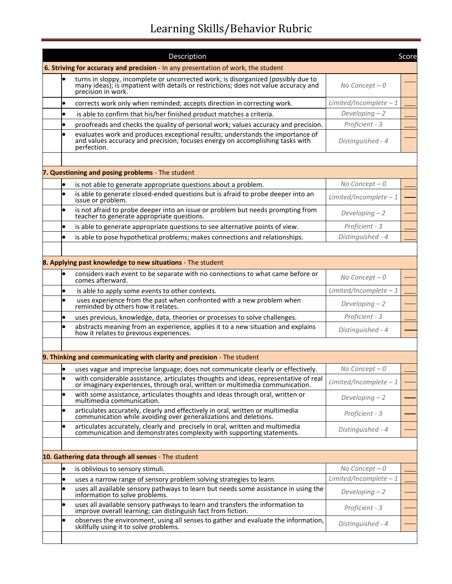# Learning Skills/Behavior Rubric

|           | Description                                                                                                                                                                                 |                         | Score |
|-----------|---------------------------------------------------------------------------------------------------------------------------------------------------------------------------------------------|-------------------------|-------|
|           | 6. Striving for accuracy and precision - In any presentation of work, the student                                                                                                           |                         |       |
|           | turns in sloppy, incomplete or uncorrected work; is disorganized (possibly due to many ideas); is impatient with details or restrictions; does not value accuracy and<br>precision in work. | No Concept $-0$         |       |
| $\bullet$ | corrects work only when reminded; accepts direction in correcting work.                                                                                                                     | Limited/Incomplete $-1$ |       |
| $\bullet$ | is able to confirm that his/her finished product matches a criteria.                                                                                                                        | Developing $-2$         |       |
| $\bullet$ | proofreads and checks the quality of personal work; values accuracy and precision.                                                                                                          | Proficient - 3          |       |
| $\bullet$ | evaluates work and produces exceptional results; understands the importance of<br>and values accuracy and precision; focuses energy on accomplishing tasks with<br>perfection.              | Distinguished - 4       |       |
|           |                                                                                                                                                                                             |                         |       |
|           | 7. Questioning and posing problems - The student                                                                                                                                            |                         |       |
| $\bullet$ | is not able to generate appropriate questions about a problem.                                                                                                                              | No Concept $-0$         |       |
| $\bullet$ | is able to generate closed-ended questions but is afraid to probe deeper into an<br>issue or problem.                                                                                       | Limited/Incomplete $-1$ |       |
|           | is not afraid to probe deeper into an issue or problem but needs prompting from<br>teacher to generate appropriate questions.                                                               | Developing $-2$         |       |
| $\bullet$ | is able to generate appropriate questions to see alternative points of view.                                                                                                                | Proficient - 3          |       |
| $\bullet$ | is able to pose hypothetical problems; makes connections and relationships.                                                                                                                 | Distinguished - 4       |       |
|           |                                                                                                                                                                                             |                         |       |
|           | <b>8. Applying past knowledge to new situations</b> - The student                                                                                                                           |                         |       |
|           | considers each event to be separate with no connections to what came before or<br>comes afterward.                                                                                          | No Concept $-0$         |       |
| $\bullet$ | is able to apply some events to other contexts.                                                                                                                                             | Limited/Incomplete $-1$ |       |
| $\bullet$ | uses experience from the past when confronted with a new problem when<br>reminded by others how it relates.                                                                                 | Developing $-2$         |       |
| $\bullet$ | uses previous, knowledge, data, theories or processes to solve challenges.                                                                                                                  | Proficient - 3          |       |
| $\bullet$ | abstracts meaning from an experience, applies it to a new situation and explains<br>how it relates to previous experiences.                                                                 | Distinguished - 4       |       |
|           |                                                                                                                                                                                             |                         |       |
|           | 9. Thinking and communicating with clarity and precision - The student                                                                                                                      |                         |       |
|           | uses vague and imprecise language; does not communicate clearly or effectively.                                                                                                             | No Concept $-0$         |       |
|           | with considerable assistance, articulates thoughts and ideas, representative of real<br>or imaginary experiences, through oral, written or multimedia communication.                        | Limited/Incomplete $-1$ |       |
| $\bullet$ | with some assistance, articulates thoughts and ideas through oral, written or<br>multimedia communication.                                                                                  | Developing $-2$         |       |
| $\bullet$ | articulates accurately, clearly and effectively in oral, written or multimedia<br>communication while avoiding over generalizations and deletions.                                          | Proficient - 3          |       |
| $\bullet$ | articulates accurately, clearly and precisely in oral, written and multimedia communication and demonstrates complexity with supporting statements.                                         | Distinguished - 4       |       |
|           |                                                                                                                                                                                             |                         |       |
|           | 10. Gathering data through all senses - The student                                                                                                                                         |                         |       |
| $\bullet$ | is oblivious to sensory stimuli.                                                                                                                                                            | No Concept $-0$         |       |
| $\bullet$ | uses a narrow range of sensory problem solving strategies to learn.                                                                                                                         | Limited/Incomplete $-1$ |       |
| $\bullet$ | uses all available sensory pathways to learn but needs some assistance in using the<br>information to solve problems.                                                                       | Developing $-2$         |       |
| $\bullet$ | uses all available sensory pathways to learn and transfers the information to improve overall learning; can distinguish fact from fiction.                                                  | Proficient - 3          |       |
| $\bullet$ | observes the environment, using all senses to gather and evaluate the information,<br>skillfully using it to solve problems.                                                                | Distinguished - 4       |       |
|           |                                                                                                                                                                                             |                         |       |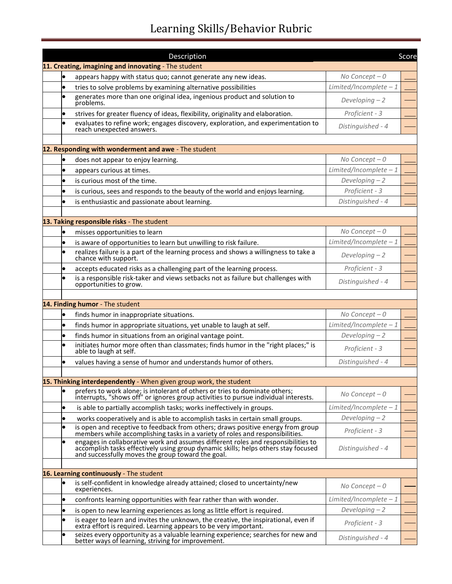# Learning Skills/Behavior Rubric

|           | Description                                                                                                                                                                                                                  |                         | Score |
|-----------|------------------------------------------------------------------------------------------------------------------------------------------------------------------------------------------------------------------------------|-------------------------|-------|
|           | 11. Creating, imagining and innovating - The student                                                                                                                                                                         |                         |       |
|           | appears happy with status quo; cannot generate any new ideas.                                                                                                                                                                | No Concept $-0$         |       |
| $\bullet$ | tries to solve problems by examining alternative possibilities                                                                                                                                                               | Limited/Incomplete $-1$ |       |
| $\bullet$ | generates more than one original idea, ingenious product and solution to<br>problems.                                                                                                                                        | Developing $-2$         |       |
| $\bullet$ | strives for greater fluency of ideas, flexibility, originality and elaboration.                                                                                                                                              | Proficient - 3          |       |
| $\bullet$ | evaluates to refine work; engages discovery, exploration, and experimentation to<br>reach unexpected answers.                                                                                                                | Distinguished - 4       |       |
|           |                                                                                                                                                                                                                              |                         |       |
|           | 12. Responding with wonderment and awe - The student                                                                                                                                                                         |                         |       |
| $\bullet$ | does not appear to enjoy learning.                                                                                                                                                                                           | No Concept $-0$         |       |
| $\bullet$ | appears curious at times.                                                                                                                                                                                                    | Limited/Incomplete $-1$ |       |
| $\bullet$ | is curious most of the time.                                                                                                                                                                                                 | Developing $-2$         |       |
| $\bullet$ | is curious, sees and responds to the beauty of the world and enjoys learning.                                                                                                                                                | Proficient - 3          |       |
| $\bullet$ | is enthusiastic and passionate about learning.                                                                                                                                                                               | Distinguished - 4       |       |
|           |                                                                                                                                                                                                                              |                         |       |
|           | 13. Taking responsible risks - The student                                                                                                                                                                                   |                         |       |
|           | misses opportunities to learn                                                                                                                                                                                                | No Concept $-0$         |       |
| $\bullet$ | is aware of opportunities to learn but unwilling to risk failure.                                                                                                                                                            | Limited/Incomplete $-1$ |       |
|           | realizes failure is a part of the learning process and shows a willingness to take a<br>chance with support.                                                                                                                 | Developing $-2$         |       |
| $\bullet$ | accepts educated risks as a challenging part of the learning process.                                                                                                                                                        | Proficient - 3          |       |
| $\bullet$ | is a responsible risk-taker and views setbacks not as failure but challenges with<br>opportunities to grow.                                                                                                                  | Distinguished - 4       |       |
|           |                                                                                                                                                                                                                              |                         |       |
|           | 14. Finding humor - The student                                                                                                                                                                                              |                         |       |
| $\bullet$ | finds humor in inappropriate situations.                                                                                                                                                                                     | No Concept $-0$         |       |
| $\bullet$ | finds humor in appropriate situations, yet unable to laugh at self.                                                                                                                                                          | Limited/Incomplete $-1$ |       |
| $\bullet$ | finds humor in situations from an original vantage point.                                                                                                                                                                    | Developing $-2$         |       |
| $\bullet$ | initiates humor more often than classmates; finds humor in the "right places;" is<br>able to laugh at self.                                                                                                                  | Proficient - 3          |       |
| $\bullet$ | values having a sense of humor and understands humor of others.                                                                                                                                                              | Distinguished - 4       |       |
|           |                                                                                                                                                                                                                              |                         |       |
|           | 15. Thinking interdependently - When given group work, the student                                                                                                                                                           |                         |       |
|           | prefers to work alone; is intolerant of others or tries to dominate others;<br>interrupts, "shows off" or ignores group activities to pursue individual interests.                                                           | No Concept $-0$         |       |
| $\bullet$ | is able to partially accomplish tasks; works ineffectively in groups.                                                                                                                                                        | Limited/Incomplete $-1$ |       |
| $\bullet$ | works cooperatively and is able to accomplish tasks in certain small groups.                                                                                                                                                 | Developing $-2$         |       |
| $\bullet$ | is open and receptive to feedback from others; draws positive energy from group<br>members while accomplishing tasks in a variety of roles and responsibilities.                                                             | Proficient - 3          |       |
| $\bullet$ | engages in collaborative work and assumes different roles and responsibilities to<br>accomplish tasks effectively using group dynamic skills; helps others stay focused<br>and successfully moves the group toward the goal. | Distinguished - 4       |       |
|           |                                                                                                                                                                                                                              |                         |       |
|           | 16. Learning continuously - The student                                                                                                                                                                                      |                         |       |
| $\bullet$ | is self-confident in knowledge already attained; closed to uncertainty/new<br>experiences.                                                                                                                                   | No Concept $-0$         |       |
| $\bullet$ | confronts learning opportunities with fear rather than with wonder.                                                                                                                                                          | $Limited/Incomplete-1$  |       |
| $\bullet$ | is open to new learning experiences as long as little effort is required.                                                                                                                                                    | Developing $-2$         |       |
| $\bullet$ | is eager to learn and invites the unknown, the creative, the inspirational, even if<br>extra effort is required. Learning appears to be very important.                                                                      | Proficient - 3          |       |
| $\bullet$ | seizes every opportunity as a valuable learning experience; searches for new and<br>better ways of learning, striving for improvement.                                                                                       | Distinguished - 4       |       |